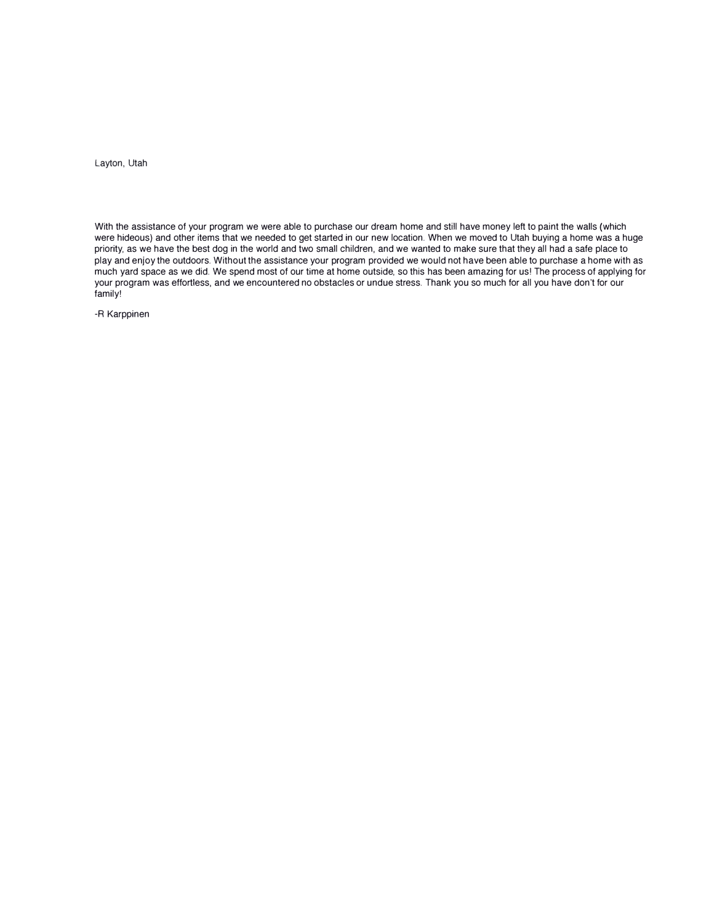Layton, Utah

With the assistance of your program we were able to purchase our dream home and still have money left to paint the walls (which were hideous) and other items that we needed to get started in our new location. When we moved to Utah buying a home was a huge priority, as we have the best dog in the world and two small children, and we wanted to make sure that they all had a safe place to play and enjoy the outdoors. Without the assistance your program provided we would not have been able to purchase a home with as much yard space as we did. We spend most of our time at home outside, so this has been amazing for us! The process of applying for your program was effortless, and we encountered no obstacles or undue stress. Thank you so much for all you have don't for our family!

-R Karppinen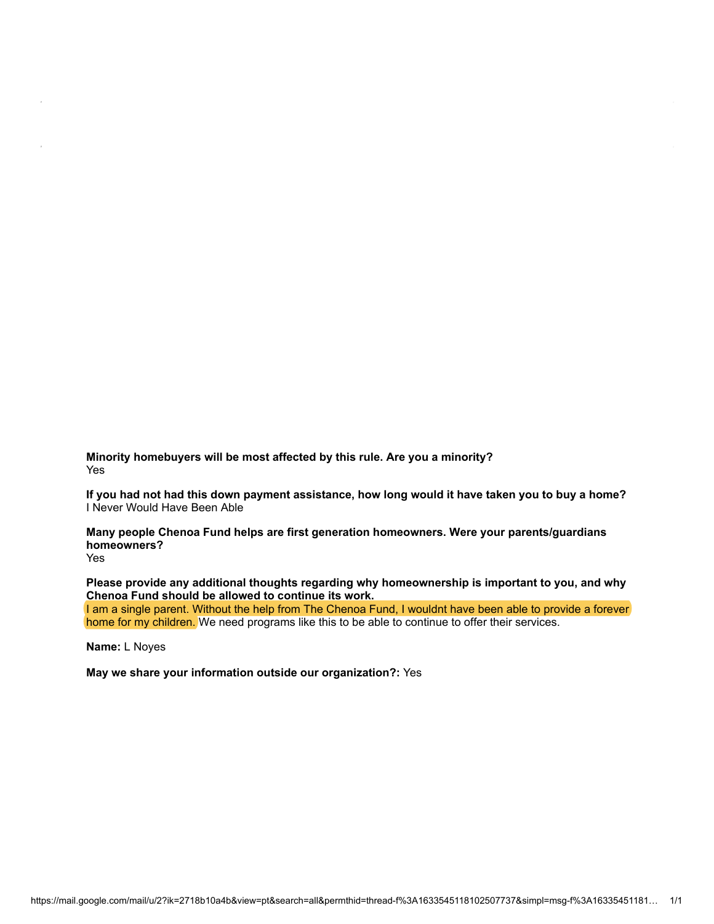**Minority homebuyers will be most affected by this rule. Are you a minority?** Yes

**If you had not had this down payment assistance, how long would it have taken you to buy a home?** I Never Would Have Been Able

**Many people Chenoa Fund helps are first generation homeowners. Were your parents/guardians homeowners?**

Yes

**Please provide any additional thoughts regarding why homeownership is important to you, and why Chenoa Fund should be allowed to continue its work.** I am a single parent. Without the help from The Chenoa Fund, I wouldnt have been able to provide a forever home for my children. We need programs like this to be able to continue to offer their services.

**Name:** L Noyes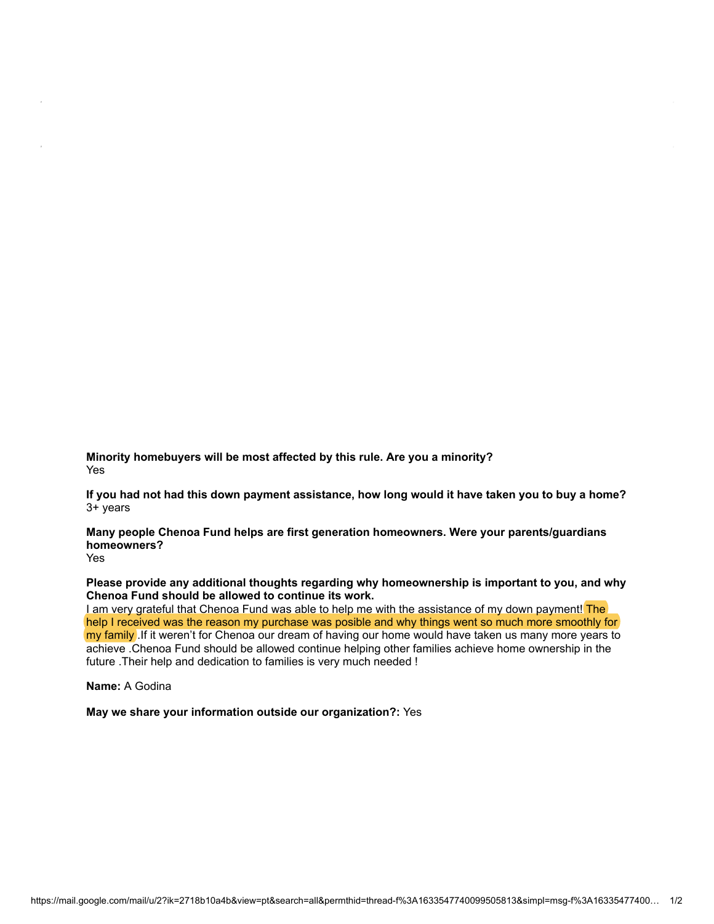**Minority homebuyers will be most affected by this rule. Are you a minority?** Yes

**If you had not had this down payment assistance, how long would it have taken you to buy a home?** 3+ years

**Many people Chenoa Fund helps are first generation homeowners. Were your parents/guardians homeowners?**

Yes

**Please provide any additional thoughts regarding why homeownership is important to you, and why Chenoa Fund should be allowed to continue its work.**

I am very grateful that Chenoa Fund was able to help me with the assistance of my down payment! The help I received was the reason my purchase was posible and why things went so much more smoothly for my family .If it weren't for Chenoa our dream of having our home would have taken us many more years to achieve .Chenoa Fund should be allowed continue helping other families achieve home ownership in the future .Their help and dedication to families is very much needed !

**Name:** A Godina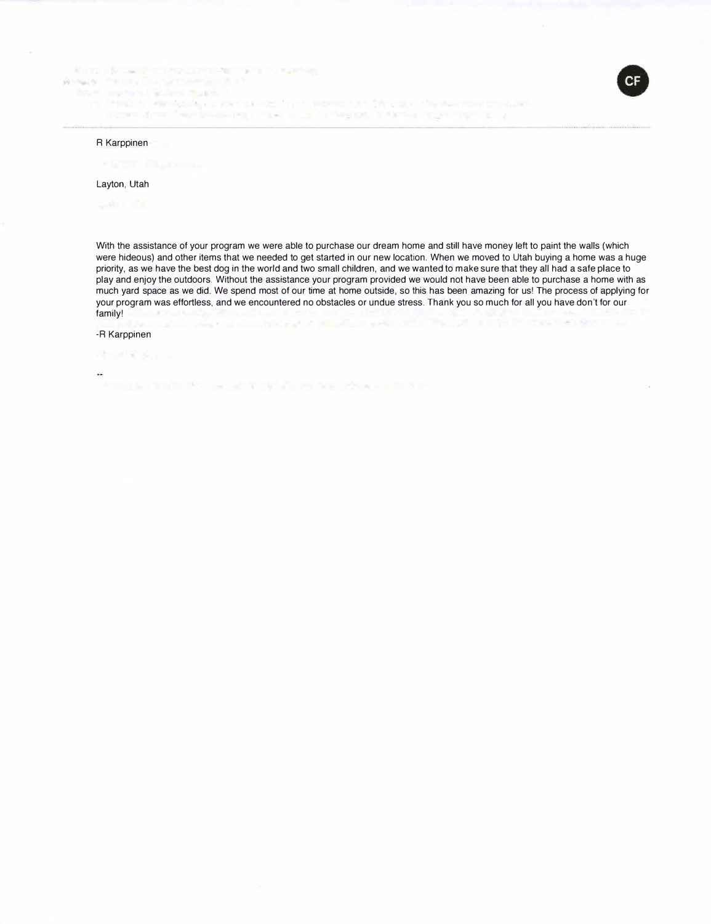# - Rostruik van dictieren met de vervolgen.<br>Weeke Themas To Germande de V<br>- The treatist american per van de van provincier terreste internationale van de осунчали объединения, что на 24 деберта, в основной получарной

**e** 

#### R Karppinen

#### Layton, Utah

With the assistance of your program we were able to purchase our dream home and still have money left to paint the walls (which were hideous) and other items that we needed to get started in our new location. When we moved to Utah buying a home was a huge priority, as we have the best dog in the world and two small children, and we wanted to make sure that they all had a safe place to play and enjoy the outdoors. Without the assistance your program provided we would not have been able to purchase a home with as much yard space as we did. We spend most of our time at home outside, so this has been amazing for us! The process of applying for your program was effortless, and we encountered no obstacles or undue stress. Thank you so much for all you have don't for our family!

#### -R Karppinen

あつかえ あましょ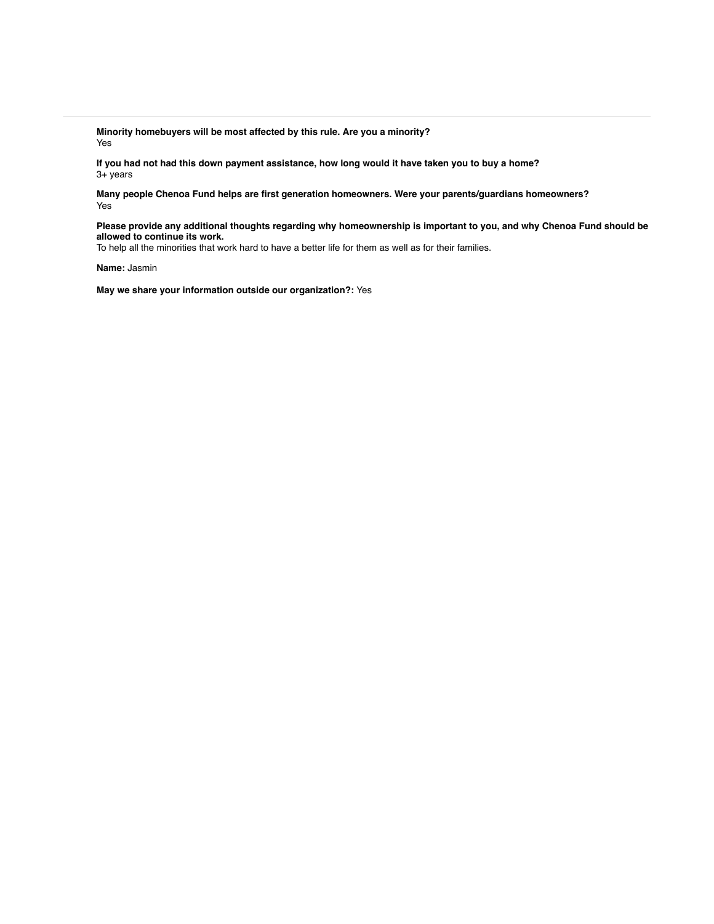**Minority homebuyers will be most affected by this rule. Are you a minority?** Yes

**If you had not had this down payment assistance, how long would it have taken you to buy a home?** 3+ years

**Many people Chenoa Fund helps are first generation homeowners. Were your parents/guardians homeowners?** Yes

**Please provide any additional thoughts regarding why homeownership is important to you, and why Chenoa Fund should be allowed to continue its work.**

To help all the minorities that work hard to have a better life for them as well as for their families.

**Name:** Jasmin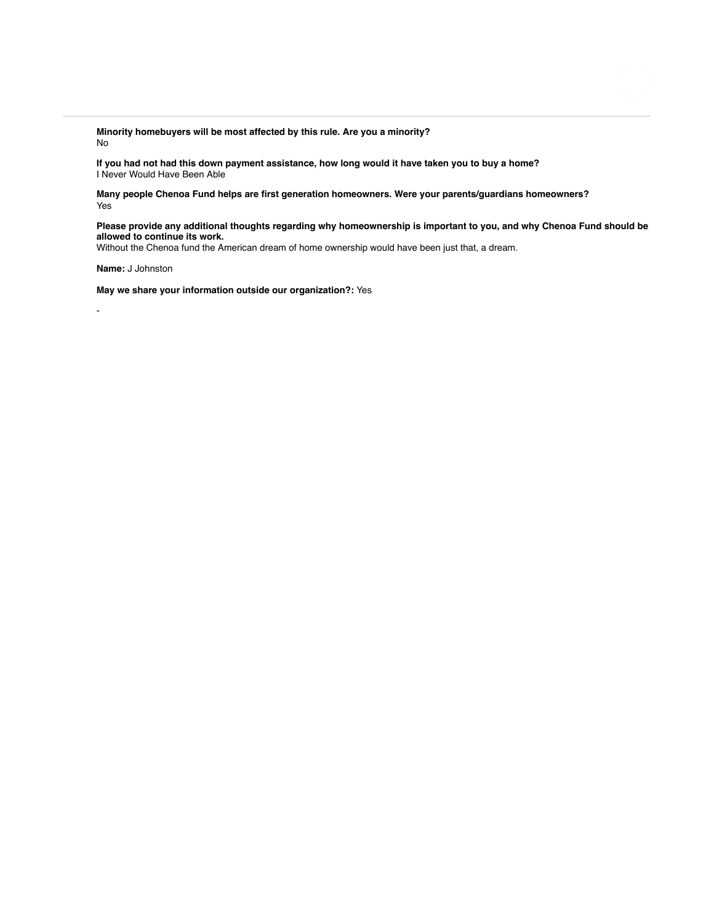**Minority homebuyers will be most affected by this rule. Are you a minority?** No

**If you had not had this down payment assistance, how long would it have taken you to buy a home?** I Never Would Have Been Able

**Many people Chenoa Fund helps are first generation homeowners. Were your parents/guardians homeowners?** Yes

**Please provide any additional thoughts regarding why homeownership is important to you, and why Chenoa Fund should be allowed to continue its work.**

Without the Chenoa fund the American dream of home ownership would have been just that, a dream.

**Name:** J Johnston

-